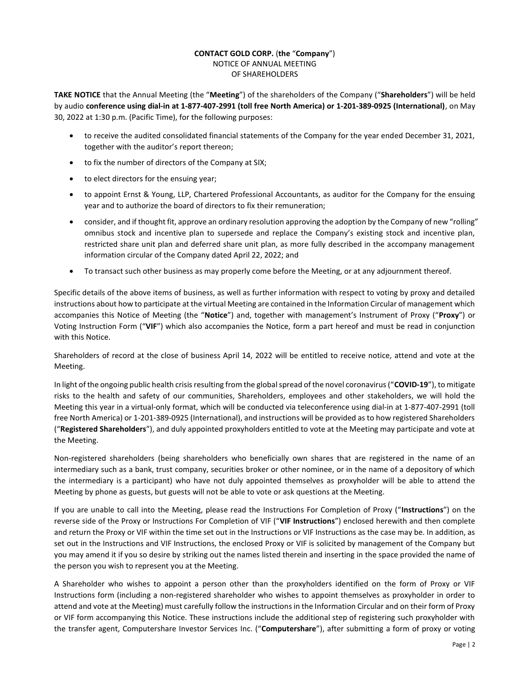## CONTACT GOLD CORP. (the "Company") NOTICE OF ANNUAL MEETING OF SHAREHOLDERS

TAKE NOTICE that the Annual Meeting (the "Meeting") of the shareholders of the Company ("Shareholders") will be held by audio conference using dial-in at 1-877-407-2991 (toll free North America) or 1-201-389-0925 (International), on May 30, 2022 at 1:30 p.m. (Pacific Time), for the following purposes:

- to receive the audited consolidated financial statements of the Company for the year ended December 31, 2021, together with the auditor's report thereon;
- to fix the number of directors of the Company at SIX;
- to elect directors for the ensuing year;
- to appoint Ernst & Young, LLP, Chartered Professional Accountants, as auditor for the Company for the ensuing year and to authorize the board of directors to fix their remuneration;
- consider, and if thought fit, approve an ordinary resolution approving the adoption by the Company of new "rolling" omnibus stock and incentive plan to supersede and replace the Company's existing stock and incentive plan, restricted share unit plan and deferred share unit plan, as more fully described in the accompany management information circular of the Company dated April 22, 2022; and
- To transact such other business as may properly come before the Meeting, or at any adjournment thereof.

Specific details of the above items of business, as well as further information with respect to voting by proxy and detailed instructions about how to participate at the virtual Meeting are contained in the Information Circular of management which accompanies this Notice of Meeting (the "Notice") and, together with management's Instrument of Proxy ("Proxy") or Voting Instruction Form ("VIF") which also accompanies the Notice, form a part hereof and must be read in conjunction with this Notice.

Shareholders of record at the close of business April 14, 2022 will be entitled to receive notice, attend and vote at the Meeting.

In light of the ongoing public health crisis resulting from the global spread of the novel coronavirus ("COVID-19"), to mitigate risks to the health and safety of our communities, Shareholders, employees and other stakeholders, we will hold the Meeting this year in a virtual-only format, which will be conducted via teleconference using dial-in at 1-877-407-2991 (toll free North America) or 1-201-389-0925 (International), and instructions will be provided as to how registered Shareholders ("Registered Shareholders"), and duly appointed proxyholders entitled to vote at the Meeting may participate and vote at the Meeting.

Non-registered shareholders (being shareholders who beneficially own shares that are registered in the name of an intermediary such as a bank, trust company, securities broker or other nominee, or in the name of a depository of which the intermediary is a participant) who have not duly appointed themselves as proxyholder will be able to attend the Meeting by phone as guests, but guests will not be able to vote or ask questions at the Meeting.

If you are unable to call into the Meeting, please read the Instructions For Completion of Proxy ("Instructions") on the reverse side of the Proxy or Instructions For Completion of VIF ("VIF Instructions") enclosed herewith and then complete and return the Proxy or VIF within the time set out in the Instructions or VIF Instructions as the case may be. In addition, as set out in the Instructions and VIF Instructions, the enclosed Proxy or VIF is solicited by management of the Company but you may amend it if you so desire by striking out the names listed therein and inserting in the space provided the name of the person you wish to represent you at the Meeting.

A Shareholder who wishes to appoint a person other than the proxyholders identified on the form of Proxy or VIF Instructions form (including a non-registered shareholder who wishes to appoint themselves as proxyholder in order to attend and vote at the Meeting) must carefully follow the instructions in the Information Circular and on their form of Proxy or VIF form accompanying this Notice. These instructions include the additional step of registering such proxyholder with the transfer agent, Computershare Investor Services Inc. ("Computershare"), after submitting a form of proxy or voting